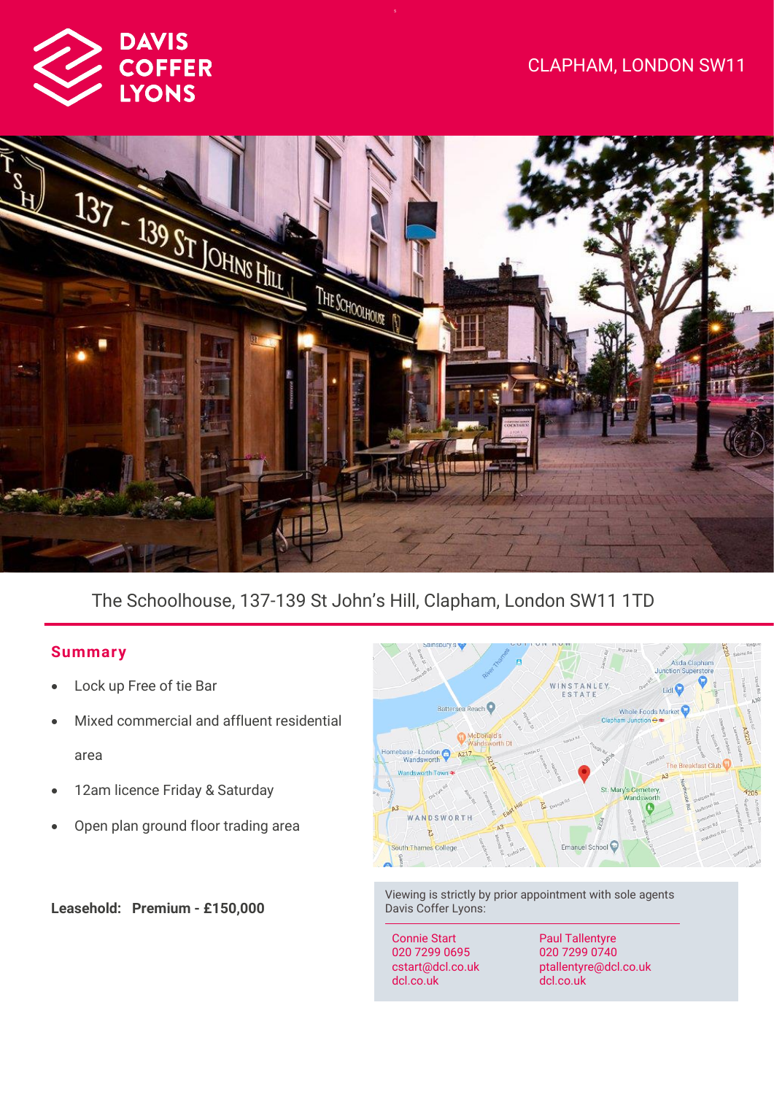



# The Schoolhouse, 137-139 St John's Hill, Clapham, London SW11 1TD

# **Summar y**

- Lock up Free of tie Bar
- Mixed commercial and affluent residential area
- 12am licence Friday & Saturday
- Open plan ground floor trading area

**Leasehold: Premium - £150,000**



Viewing is strictly by prior appointment with sole agents Davis Coffer Lyons:

Connie Start 020 7299 0695 cstart@dcl.co.uk dcl.co.uk

Paul Tallentyre 020 7299 0740 ptallentyre@dcl.co.uk dcl.co.uk